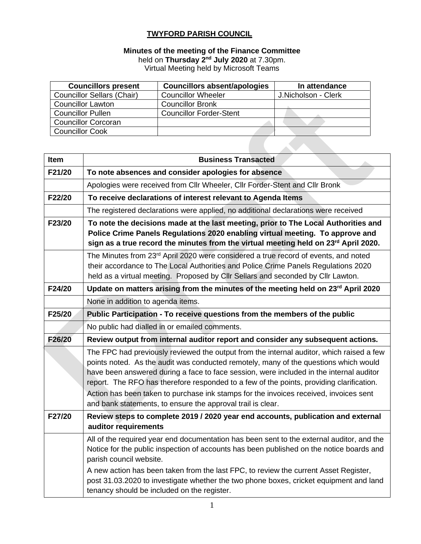### **TWYFORD PARISH COUNCIL**

#### **Minutes of the meeting of the Finance Committee**

held on Thursday 2<sup>nd</sup> July 2020 at 7.30pm.

Virtual Meeting held by Microsoft Teams

| <b>Councillors present</b>        | <b>Councillors absent/apologies</b> | In attendance       |
|-----------------------------------|-------------------------------------|---------------------|
| <b>Councillor Sellars (Chair)</b> | <b>Councillor Wheeler</b>           | J.Nicholson - Clerk |
| <b>Councillor Lawton</b>          | <b>Councillor Bronk</b>             |                     |
| <b>Councillor Pullen</b>          | <b>Councillor Forder-Stent</b>      |                     |
| <b>Councillor Corcoran</b>        |                                     |                     |
| <b>Councillor Cook</b>            |                                     |                     |

| Item   | <b>Business Transacted</b>                                                                                                                                                                                                                                                                                                                                                                                                                                                                                                      |
|--------|---------------------------------------------------------------------------------------------------------------------------------------------------------------------------------------------------------------------------------------------------------------------------------------------------------------------------------------------------------------------------------------------------------------------------------------------------------------------------------------------------------------------------------|
| F21/20 | To note absences and consider apologies for absence                                                                                                                                                                                                                                                                                                                                                                                                                                                                             |
|        | Apologies were received from Cllr Wheeler, Cllr Forder-Stent and Cllr Bronk                                                                                                                                                                                                                                                                                                                                                                                                                                                     |
| F22/20 | To receive declarations of interest relevant to Agenda Items                                                                                                                                                                                                                                                                                                                                                                                                                                                                    |
|        | The registered declarations were applied, no additional declarations were received                                                                                                                                                                                                                                                                                                                                                                                                                                              |
| F23/20 | To note the decisions made at the last meeting, prior to The Local Authorities and<br>Police Crime Panels Regulations 2020 enabling virtual meeting. To approve and<br>sign as a true record the minutes from the virtual meeting held on 23rd April 2020.                                                                                                                                                                                                                                                                      |
|        | The Minutes from 23 <sup>rd</sup> April 2020 were considered a true record of events, and noted<br>their accordance to The Local Authorities and Police Crime Panels Regulations 2020<br>held as a virtual meeting. Proposed by Cllr Sellars and seconded by Cllr Lawton.                                                                                                                                                                                                                                                       |
| F24/20 | Update on matters arising from the minutes of the meeting held on 23rd April 2020                                                                                                                                                                                                                                                                                                                                                                                                                                               |
|        | None in addition to agenda items.                                                                                                                                                                                                                                                                                                                                                                                                                                                                                               |
| F25/20 | Public Participation - To receive questions from the members of the public                                                                                                                                                                                                                                                                                                                                                                                                                                                      |
|        | No public had dialled in or emailed comments.                                                                                                                                                                                                                                                                                                                                                                                                                                                                                   |
| F26/20 | Review output from internal auditor report and consider any subsequent actions.                                                                                                                                                                                                                                                                                                                                                                                                                                                 |
|        | The FPC had previously reviewed the output from the internal auditor, which raised a few<br>points noted. As the audit was conducted remotely, many of the questions which would<br>have been answered during a face to face session, were included in the internal auditor<br>report. The RFO has therefore responded to a few of the points, providing clarification.<br>Action has been taken to purchase ink stamps for the invoices received, invoices sent<br>and bank statements, to ensure the approval trail is clear. |
| F27/20 | Review steps to complete 2019 / 2020 year end accounts, publication and external<br>auditor requirements                                                                                                                                                                                                                                                                                                                                                                                                                        |
|        | All of the required year end documentation has been sent to the external auditor, and the<br>Notice for the public inspection of accounts has been published on the notice boards and<br>parish council website.                                                                                                                                                                                                                                                                                                                |
|        | A new action has been taken from the last FPC, to review the current Asset Register,<br>post 31.03.2020 to investigate whether the two phone boxes, cricket equipment and land<br>tenancy should be included on the register.                                                                                                                                                                                                                                                                                                   |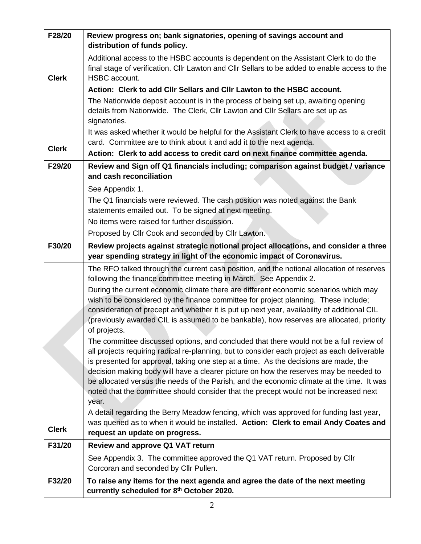| F28/20       | Review progress on; bank signatories, opening of savings account and<br>distribution of funds policy.                                                                                                                                                                                                                                                                                                                                                                                                                                                                   |
|--------------|-------------------------------------------------------------------------------------------------------------------------------------------------------------------------------------------------------------------------------------------------------------------------------------------------------------------------------------------------------------------------------------------------------------------------------------------------------------------------------------------------------------------------------------------------------------------------|
| <b>Clerk</b> | Additional access to the HSBC accounts is dependent on the Assistant Clerk to do the<br>final stage of verification. Cllr Lawton and Cllr Sellars to be added to enable access to the<br>HSBC account.                                                                                                                                                                                                                                                                                                                                                                  |
|              | Action: Clerk to add Cllr Sellars and Cllr Lawton to the HSBC account.                                                                                                                                                                                                                                                                                                                                                                                                                                                                                                  |
|              | The Nationwide deposit account is in the process of being set up, awaiting opening<br>details from Nationwide. The Clerk, Cllr Lawton and Cllr Sellars are set up as                                                                                                                                                                                                                                                                                                                                                                                                    |
|              | signatories.                                                                                                                                                                                                                                                                                                                                                                                                                                                                                                                                                            |
|              | It was asked whether it would be helpful for the Assistant Clerk to have access to a credit<br>card. Committee are to think about it and add it to the next agenda.                                                                                                                                                                                                                                                                                                                                                                                                     |
| <b>Clerk</b> | Action: Clerk to add access to credit card on next finance committee agenda.                                                                                                                                                                                                                                                                                                                                                                                                                                                                                            |
| F29/20       | Review and Sign off Q1 financials including; comparison against budget / variance                                                                                                                                                                                                                                                                                                                                                                                                                                                                                       |
|              | and cash reconciliation                                                                                                                                                                                                                                                                                                                                                                                                                                                                                                                                                 |
|              | See Appendix 1.                                                                                                                                                                                                                                                                                                                                                                                                                                                                                                                                                         |
|              | The Q1 financials were reviewed. The cash position was noted against the Bank                                                                                                                                                                                                                                                                                                                                                                                                                                                                                           |
|              | statements emailed out. To be signed at next meeting.                                                                                                                                                                                                                                                                                                                                                                                                                                                                                                                   |
|              | No items were raised for further discussion.                                                                                                                                                                                                                                                                                                                                                                                                                                                                                                                            |
|              | Proposed by Cllr Cook and seconded by Cllr Lawton.                                                                                                                                                                                                                                                                                                                                                                                                                                                                                                                      |
| F30/20       | Review projects against strategic notional project allocations, and consider a three<br>year spending strategy in light of the economic impact of Coronavirus.                                                                                                                                                                                                                                                                                                                                                                                                          |
|              | The RFO talked through the current cash position, and the notional allocation of reserves<br>following the finance committee meeting in March. See Appendix 2.                                                                                                                                                                                                                                                                                                                                                                                                          |
|              | During the current economic climate there are different economic scenarios which may                                                                                                                                                                                                                                                                                                                                                                                                                                                                                    |
|              | wish to be considered by the finance committee for project planning. These include;<br>consideration of precept and whether it is put up next year, availability of additional CIL<br>(previously awarded CIL is assumed to be bankable), how reserves are allocated, priority<br>of projects.                                                                                                                                                                                                                                                                          |
|              | The committee discussed options, and concluded that there would not be a full review of<br>all projects requiring radical re-planning, but to consider each project as each deliverable<br>is presented for approval, taking one step at a time. As the decisions are made, the<br>decision making body will have a clearer picture on how the reserves may be needed to<br>be allocated versus the needs of the Parish, and the economic climate at the time. It was<br>noted that the committee should consider that the precept would not be increased next<br>year. |
| <b>Clerk</b> | A detail regarding the Berry Meadow fencing, which was approved for funding last year,<br>was queried as to when it would be installed. Action: Clerk to email Andy Coates and<br>request an update on progress.                                                                                                                                                                                                                                                                                                                                                        |
| F31/20       | <b>Review and approve Q1 VAT return</b>                                                                                                                                                                                                                                                                                                                                                                                                                                                                                                                                 |
|              | See Appendix 3. The committee approved the Q1 VAT return. Proposed by Cllr<br>Corcoran and seconded by Cllr Pullen.                                                                                                                                                                                                                                                                                                                                                                                                                                                     |
| F32/20       | To raise any items for the next agenda and agree the date of the next meeting<br>currently scheduled for 8th October 2020.                                                                                                                                                                                                                                                                                                                                                                                                                                              |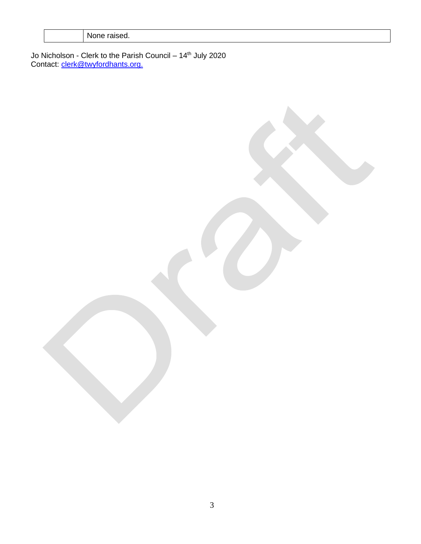| None raised. |  |
|--------------|--|
|--------------|--|

Jo Nicholson - Clerk to the Parish Council – 14<sup>th</sup> July 2020 Contact: [clerk@twyfordhants.org.](mailto:clerk@twyfordhants.org)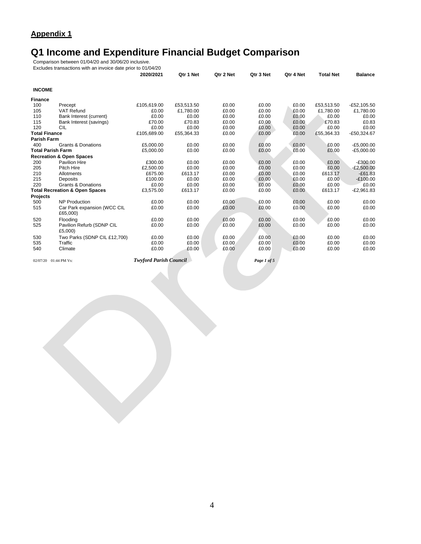## **Q1 Income and Expenditure Financial Budget Comparison**

Comparison between 01/04/20 and 30/06/20 inclusive.

Excludes transactions with an invoice date prior to 01/04/20

|                      |                                           | 2020/2021   | Qtr 1 Net  | Qtr 2 Net | Qtr 3 Net | Qtr 4 Net | <b>Total Net</b> | <b>Balance</b> |
|----------------------|-------------------------------------------|-------------|------------|-----------|-----------|-----------|------------------|----------------|
| <b>INCOME</b>        |                                           |             |            |           |           |           |                  |                |
| <b>Finance</b>       |                                           |             |            |           |           |           |                  |                |
| 100                  | Precept                                   | £105,619.00 | £53,513.50 | £0.00     | £0.00     | £0.00     | £53,513.50       | $-E52,105.50$  |
| 105                  | VAT Refund                                | £0.00       | £1.780.00  | £0.00     | £0.00     | £0.00     | £1.780.00        | £1,780.00      |
| 110                  | Bank Interest (current)                   | £0.00       | £0.00      | £0.00     | £0.00     | £0.00     | £0.00            | £0.00          |
| 115                  | Bank Interest (savings)                   | £70.00      | £70.83     | £0.00     | £0.00     | £0.00     | £70.83           | £0.83          |
| 120                  | <b>CIL</b>                                | £0.00       | £0.00      | £0.00     | £0.00     | £0.00     | £0.00            | £0.00          |
| <b>Total Finance</b> |                                           | £105,689.00 | £55,364.33 | £0.00     | £0.00     | £0.00     | £55,364.33       | $-£50,324.67$  |
| <b>Parish Farm</b>   |                                           |             |            |           |           |           |                  |                |
| 400                  | <b>Grants &amp; Donations</b>             | £5,000.00   | £0.00      | £0.00     | £0.00     | £0.00     | £0.00            | $-E5,000.00$   |
|                      | <b>Total Parish Farm</b>                  | £5,000.00   | £0.00      | £0.00     | £0.00     | £0.00     | £0.00            | $-E5,000.00$   |
|                      | <b>Recreation &amp; Open Spaces</b>       |             |            |           |           |           |                  |                |
| 200                  | Pavilion Hire                             | £300.00     | £0.00      | £0.00     | £0.00     | £0.00     | £0.00            | $-£300.00$     |
| 205                  | Pitch Hire                                | £2,500.00   | £0.00      | £0.00     | £0.00     | £0.00     | £0.00            | $-E2,500.00$   |
| 210                  | <b>Allotments</b>                         | £675.00     | £613.17    | £0.00     | £0.00     | £0.00     | £613.17          | $-£61.83$      |
| 215                  | Deposits                                  | £100.00     | £0.00      | £0.00     | £0.00     | £0.00     | £0.00            | $-£100.00$     |
| 220                  | <b>Grants &amp; Donations</b>             | £0.00       | £0.00      | £0.00     | £0.00     | £0.00     | £0.00            | £0.00          |
|                      | <b>Total Recreation &amp; Open Spaces</b> | £3,575.00   | £613.17    | £0.00     | £0.00     | £0.00     | £613.17          | $-E2,961.83$   |
| Projects             |                                           |             |            |           |           |           |                  |                |
| 500                  | <b>NP Production</b>                      | £0.00       | £0.00      | £0.00     | £0.00     | £0.00     | £0.00            | £0.00          |
| 515                  | Car Park expansion (WCC CIL<br>£65,000)   | £0.00       | £0.00      | £0.00     | £0.00     | £0.00     | £0.00            | £0.00          |
| 520                  | Flooding                                  | £0.00       | £0.00      | £0.00     | £0.00     | £0.00     | £0.00            | £0.00          |
| 525                  | Pavilion Refurb (SDNP CIL<br>£5,000)      | £0.00       | £0.00      | £0.00     | £0.00     | £0.00     | £0.00            | £0.00          |
| 530                  | Two Parks (SDNP CIL £12,700)              | £0.00       | £0.00      | £0.00     | £0.00     | £0.00     | £0.00            | £0.00          |
| 535                  | Traffic                                   | £0.00       | £0.00      | £0.00     | £0.00     | £0.00     | £0.00            | £0.00          |
| 540                  | Climate                                   | £0.00       | £0.00      | £0.00     | £0.00     | £0.00     | £0.00            | £0.00          |

02/07/20 01:44 PM Vs: *Twyford Parish Council Page 1 of 5*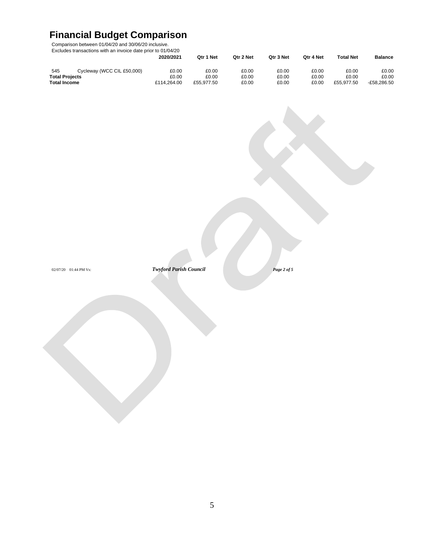# **Financial Budget Comparison**

Comparison between 01/04/20 and 30/06/20 inclusive.

Excludes transactions with an invoice date prior to 01/04/20

|                                   | 2020/2021   | Qtr 1 Net  | Qtr 2 Net | Qtr 3 Net | Otr 4 Net | <b>Total Net</b> | <b>Balance</b> |
|-----------------------------------|-------------|------------|-----------|-----------|-----------|------------------|----------------|
| Cycleway (WCC CIL £50,000)<br>545 | £0.00       | £0.00      | £0.00     | £0.00     | £0.00     | £0.00            | £0.00          |
| <b>Total Projects</b>             | £0.00       | £0.00      | £0.00     | £0.00     | £0.00     | £0.00            | £0.00          |
| <b>Total Income</b>               | £114.264.00 | £55.977.50 | £0.00     | £0.00     | £0.00     | £55.977.50       | $-£58.286.50$  |

02/07/20 01:44 PM Vs: *Twyford Parish Council Page 2 of 5*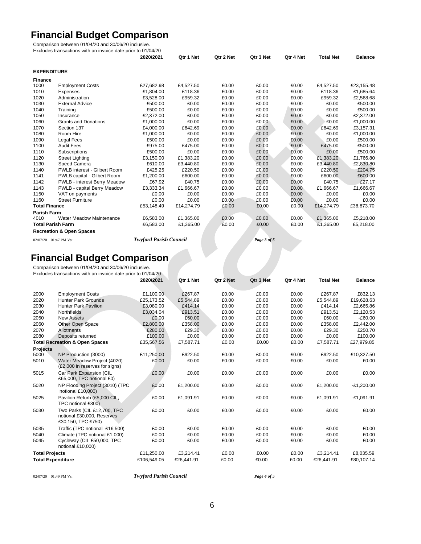# **Financial Budget Comparison**

Comparison between 01/04/20 and 30/06/20 inclusive.

Excludes transactions with an invoice date prior to 01/04/20

|                                     |                                     | 2020/2021                                                                       | Qtr 1 Net  | Qtr 2 Net | Qtr 3 Net                 | Qtr 4 Net | <b>Total Net</b> | <b>Balance</b> |
|-------------------------------------|-------------------------------------|---------------------------------------------------------------------------------|------------|-----------|---------------------------|-----------|------------------|----------------|
| <b>EXPENDITURE</b>                  |                                     |                                                                                 |            |           |                           |           |                  |                |
| <b>Finance</b>                      |                                     |                                                                                 |            |           |                           |           |                  |                |
| 1000                                | <b>Employment Costs</b>             | £27,682.98                                                                      | £4,527.50  | £0.00     | £0.00                     | £0.00     | £4,527.50        | £23,155.48     |
| 1010                                | Expenses                            | £1,804.00                                                                       | £118.36    | £0.00     | £0.00                     | £0.00     | £118.36          | £1,685.64      |
| 1020                                | Administration                      | £3,528.00                                                                       | £959.32    | £0.00     | £0.00                     | £0.00     | £959.32          | £2,568.68      |
| 1030                                | <b>External Advice</b>              | £500.00                                                                         | £0.00      | £0.00     | £0.00                     | £0.00     | £0.00            | £500.00        |
| 1040                                | Training                            | £500.00                                                                         | £0.00      | £0.00     | £0.00                     | £0.00     | £0.00            | £500.00        |
| 1050                                | Insurance                           | £2,372.00                                                                       | £0.00      | £0.00     | £0.00                     | £0.00     | £0.00            | £2,372.00      |
| 1060                                | <b>Grants and Donations</b>         | £1,000.00                                                                       | £0.00      | £0.00     | £0.00                     | £0.00     | £0.00            | £1,000.00      |
| 1070                                | Section 137                         | £4,000.00                                                                       | £842.69    | £0.00     | £0.00                     | £0.00     | £842.69          | £3,157.31      |
| 1080                                | Room Hire                           | £1,000.00                                                                       | £0.00      | £0.00     | £0.00                     | £0.00     | £0.00            | £1,000.00      |
| 1090                                | <b>Legal Fees</b>                   | £500.00                                                                         | £0.00      | £0.00     | £0.00                     | £0.00     | £0.00            | £500.00        |
| 1100                                | <b>Audit Fees</b>                   | £975.00                                                                         | £475.00    | £0.00     | £0.00                     | £0.00     | £475.00          | £500.00        |
| 1110                                | Subscriptions                       | £500.00                                                                         | £0.00      | £0.00     | £0.00                     | £0.00     | £0.00            | £500.00        |
| 1120                                | <b>Street Lighting</b>              | £3,150.00                                                                       | £1,383.20  | £0.00     | £0.00                     | £0.00     | £1,383.20        | £1,766.80      |
| 1130                                | Speed Camera                        | £610.00                                                                         | £3,440.80  | £0.00     | £0.00                     | £0.00     | £3,440.80        | $-E2,830.80$   |
| 1140                                | PWLB interest - Gilbert Room        | £425.25                                                                         | £220.50    | £0.00     | £0.00                     | £0.00     | £220.50          | £204.75        |
| 1141                                | PWLB capital - Gilbert Room         | £1,200.00                                                                       | £600.00    | £0.00     | £0.00                     | £0.00     | £600.00          | £600.00        |
| 1142                                | PWLB - interest Berry Meadow        | £67.92                                                                          | £40.75     | £0.00     | £0.00                     | £0.00     | £40.75           | £27.17         |
| 1143                                | PWLB - capital Berry Meadow         | £3,333.34                                                                       | £1,666.67  | £0.00     | £0.00                     | £0.00     | £1,666.67        | £1,666.67      |
| 1150                                | VAT on payments                     | £0.00                                                                           | £0.00      | £0.00     | £0.00                     | £0.00     | £0.00            | £0.00          |
| 1160                                | <b>Street Furniture</b>             | £0.00                                                                           | £0.00      | £0.00     | £0.00                     | £0.00     | £0.00            | £0.00          |
| <b>Total Finance</b>                |                                     | £53,148.49                                                                      | £14,274.79 | £0.00     | £0.00                     | £0.00     | £14,274.79       | £38,873.70     |
| <b>Parish Farm</b>                  |                                     |                                                                                 |            |           |                           |           |                  |                |
| 4010                                | <b>Water Meadow Maintenance</b>     | £6,583.00                                                                       | £1,365.00  | £0.00     | £0.00                     | £0.00     | £1,365.00        | £5,218.00      |
|                                     | <b>Total Parish Farm</b>            | £6,583.00                                                                       | £1,365.00  | £0.00     | £0.00                     | £0.00     | £1,365.00        | £5,218.00      |
|                                     | <b>Recreation &amp; Open Spaces</b> |                                                                                 |            |           |                           |           |                  |                |
| $0.20707$ $0.1070$ $0.1070$ $0.107$ |                                     | $T_{i_1, i_2, j_3}$ $T_{i_3, i_4, j_5}$ $T_{i_1, i_2, j_4}$ $T_{i_3, i_4, j_5}$ |            |           | $\mathbf{r}$ $\mathbf{r}$ |           |                  |                |

# 02/07/20 01:47 PM Vs: *Twyford Parish Council Page 3 of 5*<br> **Financial Budget Comparison**<br>
Comparison between 01/04/20 and 30/06/20 inclusive. **Financial Budget Comparison**

Comparison between 01/04/20 and 30/06/20 inclusive. Excludes transactions with an invoice date prior to 01/04/20

|                          |                                                                                 | 2020/2021   | Qtr 1 Net  | Qtr 2 Net | Qtr 3 Net | Qtr 4 Net | <b>Total Net</b> | <b>Balance</b> |
|--------------------------|---------------------------------------------------------------------------------|-------------|------------|-----------|-----------|-----------|------------------|----------------|
| 2000                     | <b>Employment Costs</b>                                                         | £1,100.00   | £267.87    | £0.00     | £0.00     | £0.00     | £267.87          | £832.13        |
| 2020                     | <b>Hunter Park Grounds</b>                                                      | £25,173.52  | £5,544.89  | £0.00     | £0.00     | £0.00     | £5,544.89        | £19,628.63     |
| 2030                     | <b>Hunter Park Pavilion</b>                                                     | £3,080.00   | £414.14    | £0.00     | £0.00     | £0.00     | £414.14          | £2,665.86      |
| 2040                     | Northfields                                                                     | £3,034.04   | £913.51    | £0.00     | £0.00     | £0.00     | £913.51          | £2,120.53      |
| 2050                     | <b>New Assets</b>                                                               | £0.00       | £60.00     | £0.00     | £0.00     | £0.00     | £60.00           | $-£60.00$      |
| 2060                     | Other Open Space                                                                | £2,800.00   | £358.00    | £0.00     | £0.00     | £0.00     | £358.00          | £2,442.00      |
| 2070                     | Allotments                                                                      | £280.00     | £29.30     | £0.00     | £0.00     | £0.00     | £29.30           | £250.70        |
| 2080                     | Deposits returned                                                               | £100.00     | £0.00      | £0.00     | £0.00     | £0.00     | £0.00            | £100.00        |
|                          | <b>Total Recreation &amp; Open Spaces</b>                                       | £35,567.56  | £7,587.71  | £0.00     | £0.00     | £0.00     | £7,587.71        | £27,979.85     |
| <b>Projects</b>          |                                                                                 |             |            |           |           |           |                  |                |
| 5000                     | NP Production (3000)                                                            | £11,250.00  | £922.50    | £0.00     | £0.00     | £0.00     | £922.50          | £10,327.50     |
| 5010                     | Water Meadow Proiect (4020)<br>(£2,000 in reserves for signs)                   | £0.00       | £0.00      | £0.00     | £0.00     | £0.00     | £0.00            | £0.00          |
| 5015                     | Car Park Expansion (CIL<br>£65,000, TPC notional £0)                            | £0.00       | £0.00      | £0.00     | £0.00     | £0.00     | £0.00            | £0.00          |
| 5020                     | NP Flooding Project (3010) (TPC<br>notional £10,000)                            | £0.00       | £1,200.00  | £0.00     | £0.00     | £0.00     | £1,200.00        | $-E1,200.00$   |
| 5025                     | Pavilion Refurb (£5,000 CIL,<br>TPC notional £300)                              | £0.00       | £1,091.91  | £0.00     | £0.00     | £0.00     | £1,091.91        | $-£1,091.91$   |
| 5030                     | Two Parks (CIL £12,700, TPC<br>notional £30,000, Reserves<br>£30,150, TPC £750) | £0.00       | £0.00      | £0.00     | £0.00     | £0.00     | £0.00            | £0.00          |
| 5035                     | Traffic (TPC notional £16,500)                                                  | £0.00       | £0.00      | £0.00     | £0.00     | £0.00     | £0.00            | £0.00          |
| 5040                     | Climate (TPC notional £1,000)                                                   | £0.00       | £0.00      | £0.00     | £0.00     | £0.00     | £0.00            | £0.00          |
| 5045                     | Cycleway (CIL £50,000, TPC<br>notional £10,000)                                 | £0.00       | £0.00      | £0.00     | £0.00     | £0.00     | £0.00            | £0.00          |
| <b>Total Projects</b>    |                                                                                 | £11,250.00  | £3,214.41  | £0.00     | £0.00     | £0.00     | £3,214.41        | £8,035.59      |
| <b>Total Expenditure</b> |                                                                                 | £106.549.05 | £26.441.91 | £0.00     | £0.00     | £0.00     | £26.441.91       | £80,107.14     |

02/07/20 01:49 PM Vs: *Twyford Parish Council Page 4 of 5*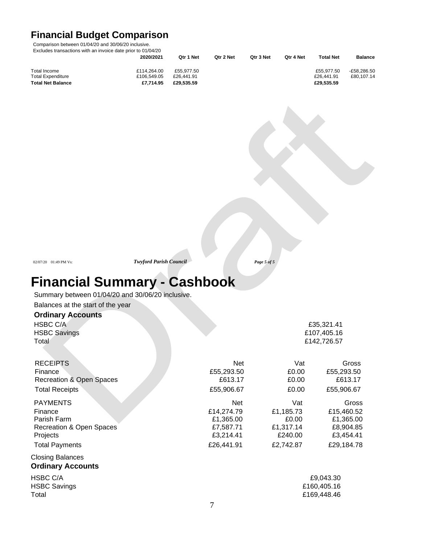# **Financial Budget Comparison**

Comparison between 01/04/20 and 30/06/20 inclusive.

Excludes transactions with an invoice date prior to 01/04/20

|                          | 2020/2021   | Otr 1 Net  | Otr 2 Net | Qtr 3 Net | Otr 4 Net | <b>Total Net</b> | <b>Balance</b> |
|--------------------------|-------------|------------|-----------|-----------|-----------|------------------|----------------|
|                          |             |            |           |           |           |                  |                |
| Total Income             | £114.264.00 | £55.977.50 |           |           |           | £55.977.50       | $-£58.286.50$  |
| <b>Total Expenditure</b> | £106,549.05 | £26,441.91 |           |           |           | £26,441.91       | £80.107.14     |
| <b>Total Net Balance</b> | £7.714.95   | £29.535.59 |           |           |           | £29.535.59       |                |

02/07/20 01:49 PM Vs: *Twyford Parish Council Page 5 of 5*

# **Financial Summary - Cashbook**

Summary between 01/04/20 and 30/06/20 inclusive.

Balances at the start of the year

#### **Ordinary Accounts**

HSBC C/A  $£35,321.41$ HSBC Savings **E107,405.16** Total £142,726.57

| <b>RECEIPTS</b>                     | <b>Net</b> | Vat       | Gross       |
|-------------------------------------|------------|-----------|-------------|
| Finance                             | £55,293.50 | £0.00     | £55,293.50  |
| Recreation & Open Spaces            | £613.17    | £0.00     | £613.17     |
| <b>Total Receipts</b>               | £55,906.67 | £0.00     | £55,906.67  |
| <b>PAYMENTS</b>                     | <b>Net</b> | Vat       | Gross       |
| Finance                             | £14,274.79 | £1,185.73 | £15,460.52  |
| Parish Farm                         | £1,365.00  | £0.00     | £1,365.00   |
| <b>Recreation &amp; Open Spaces</b> | £7,587.71  | £1,317.14 | £8,904.85   |
| Projects                            | £3,214.41  | £240.00   | £3,454.41   |
| <b>Total Payments</b>               | £26,441.91 | £2,742.87 | £29,184.78  |
| <b>Closing Balances</b>             |            |           |             |
| <b>Ordinary Accounts</b>            |            |           |             |
| HSBC C/A                            |            |           | £9,043.30   |
| <b>HSBC Savings</b>                 |            |           | £160,405.16 |

Total £169,448.46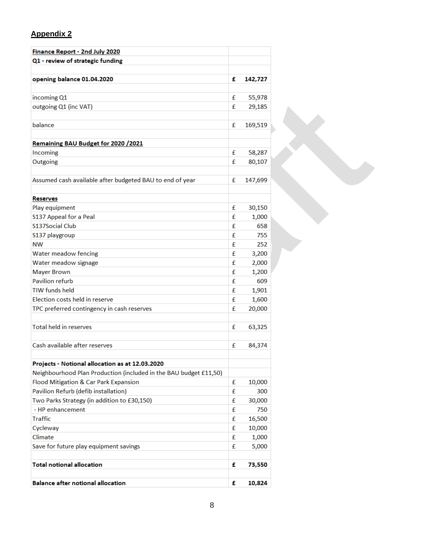## **Appendix 2**

| Finance Report - 2nd July 2020                                    |   |         |
|-------------------------------------------------------------------|---|---------|
| Q1 - review of strategic funding                                  |   |         |
|                                                                   |   |         |
| opening balance 01.04.2020                                        | £ | 142,727 |
|                                                                   |   |         |
| incoming Q1                                                       | £ | 55,978  |
| outgoing Q1 (inc VAT)                                             | £ | 29,185  |
|                                                                   |   |         |
| balance                                                           | £ | 169,519 |
|                                                                   |   |         |
| Remaining BAU Budget for 2020 / 2021                              |   |         |
| Incoming                                                          | £ | 58,287  |
| Outgoing                                                          | £ | 80,107  |
|                                                                   |   |         |
| Assumed cash available after budgeted BAU to end of year          | £ | 147,699 |
|                                                                   |   |         |
| <b>Reserves</b>                                                   |   |         |
| Play equipment                                                    | £ | 30,150  |
| S137 Appeal for a Peal                                            | £ | 1,000   |
| <b>S137Social Club</b>                                            | £ | 658     |
| S137 playgroup                                                    | £ | 755     |
| <b>NW</b>                                                         | £ | 252     |
| Water meadow fencing                                              | £ | 3,200   |
| Water meadow signage                                              | £ | 2,000   |
| <b>Mayer Brown</b>                                                | £ | 1,200   |
| <b>Pavilion refurb</b>                                            | £ | 609     |
| <b>TIW</b> funds held                                             | £ | 1,901   |
| Election costs held in reserve                                    | £ | 1,600   |
| TPC preferred contingency in cash reserves                        | £ | 20,000  |
|                                                                   |   |         |
| <b>Total held in reserves</b>                                     | £ | 63,325  |
|                                                                   |   |         |
| Cash available after reserves                                     | £ | 84,374  |
|                                                                   |   |         |
| Projects - Notional allocation as at 12.03.2020                   |   |         |
| Neighbourhood Plan Production (included in the BAU budget £11,50) |   |         |
| Flood Mitigation & Car Park Expansion                             | £ | 10,000  |
| Pavilion Refurb (defib installation)                              | £ | 300     |
| Two Parks Strategy (in addition to £30,150)                       | £ | 30,000  |
| - HP enhancement                                                  | £ | 750     |
| <b>Traffic</b>                                                    | £ | 16,500  |
| Cycleway                                                          | £ | 10,000  |
| Climate                                                           | £ | 1,000   |
| Save for future play equipment savings                            | £ | 5,000   |
|                                                                   |   |         |
| <b>Total notional allocation</b>                                  | £ | 73,550  |
|                                                                   |   |         |
| <b>Balance after notional allocation</b>                          | £ | 10,824  |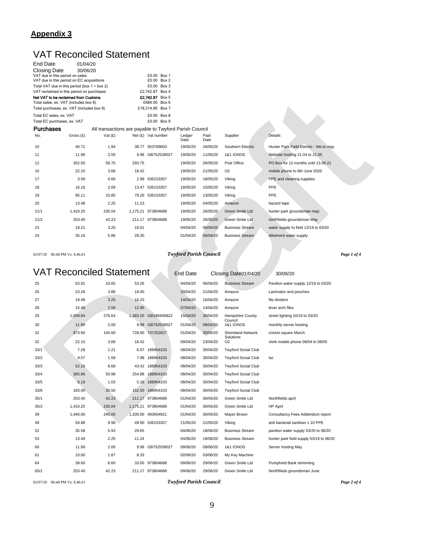#### **Appendix 3**

### VAT Reconciled Statement

| <b>End Date</b>                 | 01/04/20                                       |                                                        |        |                    |                |              |                        |                                         |
|---------------------------------|------------------------------------------------|--------------------------------------------------------|--------|--------------------|----------------|--------------|------------------------|-----------------------------------------|
| <b>Closing Date</b>             | 30/06/20                                       |                                                        |        |                    |                |              |                        |                                         |
| VAT due in this period on sales |                                                |                                                        |        | £0.00 Box 1        |                |              |                        |                                         |
|                                 | VAT due in this period on EC acquisitions      |                                                        |        | £0.00 Box 2        |                |              |                        |                                         |
|                                 | Total VAT due in this period (box $1 +$ box 2) |                                                        |        | £0.00 Box 3        |                |              |                        |                                         |
|                                 | VAT reclaimed in this period on purchases      |                                                        |        | £2,742.87 Box 4    |                |              |                        |                                         |
|                                 | Net VAT to be reclaimed from Customs           |                                                        |        | £2,742.87 Box 5    |                |              |                        |                                         |
|                                 | Total sales, ex. VAT (includes box 8)          |                                                        |        | £684.00 Box 6      |                |              |                        |                                         |
|                                 | Total purchases, ex. VAT (includes box 9)      |                                                        |        | £18,314.86 Box 7   |                |              |                        |                                         |
| Total EC sales, ex. VAT         |                                                |                                                        |        | £0.00 Box 8        |                |              |                        |                                         |
| Total EC purchases, ex. VAT     |                                                |                                                        |        | £0.00 Box 9        |                |              |                        |                                         |
| <b>Purchases</b>                |                                                | All transactions are payable to Twyford Parish Council |        |                    |                |              |                        |                                         |
| No.                             | Gross (£)                                      | Vat $(E)$                                              |        | Net (£) Vat number | Ledger<br>Date | Paid<br>Date | Supplier               | Details                                 |
| 10                              | 40.71                                          | 1.94                                                   |        | 38.77 553769603    | 19/05/20       | 26/05/20     | Southern Electric      | Hunter Park Field Electric - feb to may |
| 11                              | 11.99                                          | 2.00                                                   | 9.99   | GB752539027        | 19/05/20       | 11/05/20     | <b>1&amp;1 IONOS</b>   | Website hosting 21.04 to 21.05          |
| 12                              | 352.50                                         | 58.75                                                  | 293.75 |                    | 19/05/20       | 26/05/20     | Post Office            | PO Box for 12 months until 13.06.21     |
| 16                              | 22.10                                          | 3.68                                                   | 18.42  |                    | 19/05/20       | 21/05/20     | O <sub>2</sub>         | mobile phone to 8th June 2020           |
| 17                              | 3.59                                           | 0.60                                                   |        | 2.99 536153357     | 19/05/20       | 18/05/20     | Viking                 | PPE and cleaning supplies               |
| 18                              | 16.16                                          | 2.69                                                   |        | 13.47 536153357    | 19/05/20       | 15/05/20     | Viking                 | PPE                                     |
| 19                              | 95.11                                          | 15.85                                                  |        | 79.26 536153357    | 19/05/20       | 13/05/20     | Viking                 | PPE                                     |
| 20                              | 13.48                                          | 2.25                                                   | 11.23  |                    | 19/05/20       | 04/05/20     | Amazon                 | hazard tape                             |
| 21/1                            | 1,410.25                                       | 235.04                                                 |        | 1,175.21 973804688 | 19/05/20       | 26/05/20     | Green Smile Ltd        | hunter park groundsman may              |
| 21/2                            | 253.40                                         | 42.23                                                  |        | 211.17 973804688   | 19/05/20       | 26/05/20     | Green Smile Ltd        | northfields groundsman May              |
| 23                              | 19.21                                          | 3.20                                                   | 16.01  |                    | 04/04/20       | 06/04/20     | <b>Business Stream</b> | water supply to field 12/19 to 03/20    |
| 24                              | 35.16                                          | 5.86                                                   | 29.30  |                    | 01/04/20       | 06/04/20     | <b>Business Stream</b> | Allotment water supply                  |
|                                 |                                                |                                                        |        |                    |                |              |                        |                                         |

#### 02/07/20 06:48 PM Vs: 8.46.01 *Twyford Parish Council Page 1 of 4*

VAT Reconciled Statement End Date Closing Date01/04/20 30/06/20 25 63.91 10.65 53.26 04/04/20 06/04/20 Business Stream Pavilion water supply 12/19 to 03/20 26 23.28 3.88 19.40 20/04/20 21/04/20 Amazon Laminator and pouches 27 19.48 3.25 16.23 14/04/20 16/04/20 Amazon file dividers 28 15.48 2.58 12.90 07/04/20 14/04/20 Amazon lever arch files 29 1,659.84 276.64 1,383.20 GB189406822 15/04/20 30/04/20 Hampshire County street lighting 10/19 to 03/20 Council<br>1&1 IONOS 30 11.99 2.00 9.99 GB752539027 01/04/20 08/04/20 1&1 IONOS monthly server hosting 31 873.60 145.60 728.00 737252627 01/04/20 30/04/20 Shoreland Network cricket square March **Solutions** 32 22.10 3.68 18.42 09/04/20 23/04/20 O2 clerk mobile phone 09/04 to 08/05 33/1 7.28 1.21 6.07 188954103 08/04/20 30/04/20 Twyford Social Club 33/2 9.57 1.59 7.98 188954103 08/04/20 30/04/20 Twyford Social Club tsc 33/3 52.10 8.68 43.42 188954103 08/04/20 30/04/20 Twyford Social Club 33/4 305.86 50.98 254.88 188954103 08/04/20 30/04/20 Twyford Social Club 33/5 6.19 1.03 5.16 188954103 08/04/20 30/04/20 Twyford Social Club 33/6 183.00 30.50 152.50 188954103 08/04/20 30/04/20 Twyford Social Club 35/1 253.40 42.23 211.17 973804688 01/04/20 30/04/20 Green Smile Ltd Northfields april 35/2 1,410.25 235.04 1,175.21 973804688 01/04/20 30/04/20 Green Smile Ltd HP April 39 1,440.00 240.00 1,200.00 493604921 01/04/20 30/04/20 Mayer Brown Consultancy Fees Addendum report 49 59.88 9.98 49.90 536153357 21/05/20 21/05/20 Viking anti bacterial sanitiser x 10 PPE 52 35.58 5.93 29.65 04/06/20 18/06/20 Business Stream pavilion water supply 03/20 to 06/20 53 13.49 2.25 11.24 04/06/20 18/06/20 Business Stream hunter park field supply 03/19 to 06/20 60 11.99 2.00 9.99 GB752539027 09/06/20 09/06/20 1&1 IONOS Server hosting May 61 10.00 1.67 8.33 02/06/20 03/06/20 My Key Machine 64 39.60 6.60 33.00 973804688 09/06/20 29/06/20 Green Smile Ltd Pumphrett Bank strimming 65/1 253.40 42.23 211.17 973804688 09/06/20 29/06/20 Green Smile Ltd Northfileds groundsman June

02/07/20 06:48 PM Vs: 8.46.01 *Twyford Parish Council Page 2 of 4*